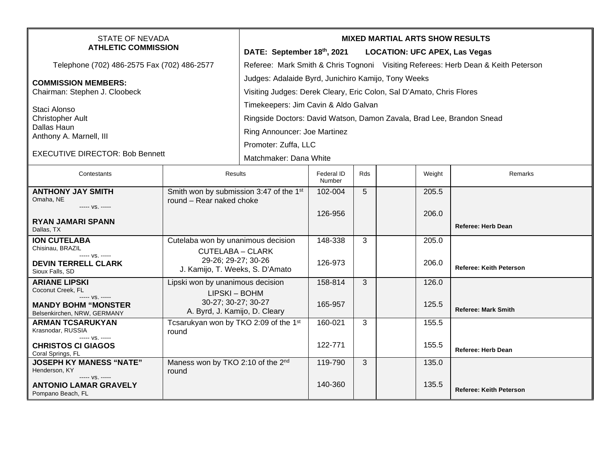| <b>STATE OF NEVADA</b><br><b>ATHLETIC COMMISSION</b>                                              |                                                                                   | <b>MIXED MARTIAL ARTS SHOW RESULTS</b><br>DATE: September 18th, 2021<br><b>LOCATION: UFC APEX, Las Vegas</b>                |                      |     |        |                                |  |  |  |
|---------------------------------------------------------------------------------------------------|-----------------------------------------------------------------------------------|-----------------------------------------------------------------------------------------------------------------------------|----------------------|-----|--------|--------------------------------|--|--|--|
| Telephone (702) 486-2575 Fax (702) 486-2577                                                       |                                                                                   | Referee: Mark Smith & Chris Tognoni Visiting Referees: Herb Dean & Keith Peterson                                           |                      |     |        |                                |  |  |  |
| <b>COMMISSION MEMBERS:</b><br>Chairman: Stephen J. Cloobeck                                       |                                                                                   | Judges: Adalaide Byrd, Junichiro Kamijo, Tony Weeks<br>Visiting Judges: Derek Cleary, Eric Colon, Sal D'Amato, Chris Flores |                      |     |        |                                |  |  |  |
|                                                                                                   |                                                                                   | Timekeepers: Jim Cavin & Aldo Galvan                                                                                        |                      |     |        |                                |  |  |  |
| Staci Alonso<br><b>Christopher Ault</b>                                                           |                                                                                   | Ringside Doctors: David Watson, Damon Zavala, Brad Lee, Brandon Snead                                                       |                      |     |        |                                |  |  |  |
| Dallas Haun<br>Anthony A. Marnell, III                                                            |                                                                                   | Ring Announcer: Joe Martinez                                                                                                |                      |     |        |                                |  |  |  |
|                                                                                                   |                                                                                   | Promoter: Zuffa, LLC                                                                                                        |                      |     |        |                                |  |  |  |
| <b>EXECUTIVE DIRECTOR: Bob Bennett</b>                                                            |                                                                                   | Matchmaker: Dana White                                                                                                      |                      |     |        |                                |  |  |  |
| Contestants                                                                                       | Results                                                                           |                                                                                                                             | Federal ID<br>Number | Rds | Weight | Remarks                        |  |  |  |
| <b>ANTHONY JAY SMITH</b><br>Omaha, NE                                                             | Smith won by submission 3:47 of the 1 <sup>st</sup><br>round - Rear naked choke   |                                                                                                                             | 102-004              | 5   | 205.5  |                                |  |  |  |
| ----- VS. -----                                                                                   |                                                                                   |                                                                                                                             | 126-956              |     | 206.0  |                                |  |  |  |
| <b>RYAN JAMARI SPANN</b><br>Dallas, TX                                                            |                                                                                   |                                                                                                                             |                      |     |        | <b>Referee: Herb Dean</b>      |  |  |  |
| <b>ION CUTELABA</b>                                                                               | Cutelaba won by unanimous decision                                                |                                                                                                                             | 148-338              | 3   | 205.0  |                                |  |  |  |
| Chisinau, BRAZIL<br>$--- VS. ---$<br><b>DEVIN TERRELL CLARK</b><br>Sioux Falls, SD                | <b>CUTELABA - CLARK</b><br>29-26; 29-27; 30-26<br>J. Kamijo, T. Weeks, S. D'Amato |                                                                                                                             | 126-973              |     | 206.0  | <b>Referee: Keith Peterson</b> |  |  |  |
| <b>ARIANE LIPSKI</b>                                                                              | Lipski won by unanimous decision                                                  |                                                                                                                             | 158-814              | 3   | 126.0  |                                |  |  |  |
| Coconut Creek, FL<br>----- VS. -----<br><b>MANDY BOHM "MONSTER</b><br>Belsenkirchen, NRW, GERMANY | LIPSKI - BOHM<br>30-27; 30-27; 30-27<br>A. Byrd, J. Kamijo, D. Cleary             |                                                                                                                             | 165-957              |     | 125.5  | <b>Referee: Mark Smith</b>     |  |  |  |
| <b>ARMAN TCSARUKYAN</b><br>Krasnodar, RUSSIA                                                      | Tcsarukyan won by TKO 2:09 of the 1st                                             |                                                                                                                             | 160-021              | 3   | 155.5  |                                |  |  |  |
| ----- VS. -----<br><b>CHRISTOS CI GIAGOS</b><br>Coral Springs, FL                                 | round                                                                             |                                                                                                                             | 122-771              |     | 155.5  | <b>Referee: Herb Dean</b>      |  |  |  |
| <b>JOSEPH KY MANESS "NATE"</b><br>Henderson, KY                                                   | Maness won by TKO 2:10 of the 2 <sup>nd</sup><br>round                            |                                                                                                                             | 119-790              | 3   | 135.0  |                                |  |  |  |
| $--- VS. ---$<br><b>ANTONIO LAMAR GRAVELY</b><br>Pompano Beach, FL                                |                                                                                   |                                                                                                                             | 140-360              |     | 135.5  | <b>Referee: Keith Peterson</b> |  |  |  |